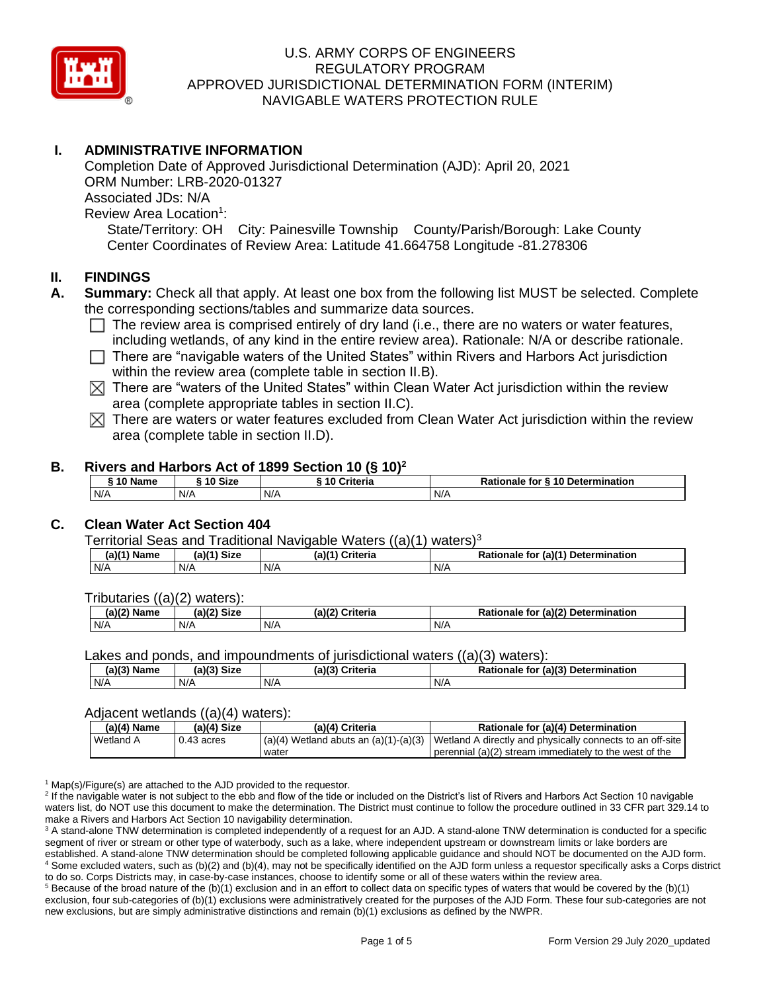

# **I. ADMINISTRATIVE INFORMATION**

Completion Date of Approved Jurisdictional Determination (AJD): April 20, 2021 ORM Number: LRB-2020-01327 Associated JDs: N/A Review Area Location<sup>1</sup>: State/Territory: OH City: Painesville Township County/Parish/Borough: Lake County Center Coordinates of Review Area: Latitude 41.664758 Longitude -81.278306

### **II. FINDINGS**

- **A. Summary:** Check all that apply. At least one box from the following list MUST be selected. Complete the corresponding sections/tables and summarize data sources.
	- $\Box$  The review area is comprised entirely of dry land (i.e., there are no waters or water features, including wetlands, of any kind in the entire review area). Rationale: N/A or describe rationale.
	- $\Box$  There are "navigable waters of the United States" within Rivers and Harbors Act jurisdiction within the review area (complete table in section II.B).
	- $\boxtimes$  There are "waters of the United States" within Clean Water Act jurisdiction within the review area (complete appropriate tables in section II.C).
	- $\boxtimes$  There are waters or water features excluded from Clean Water Act jurisdiction within the review area (complete table in section II.D).

#### **B. Rivers and Harbors Act of 1899 Section 10 (§ 10)<sup>2</sup>**

| ົ <sup>1</sup> 0 Size<br>$\sim$ 10 Name |     | Criteria<br>ነ 10 | Rationale for § 10 Determination |  |
|-----------------------------------------|-----|------------------|----------------------------------|--|
| N/A                                     | N/A | N/A              | N/A                              |  |

# **C. Clean Water Act Section 404**

Territorial Seas and Traditional Navigable Waters  $((a)(1)$  waters)<sup>3</sup>

| (21/4)<br>$ -$<br>Name | <b>Size</b><br>$(a)$ $(4)$ | (a)'<br>riteria | $(ab)^{4}$<br><b>Determination</b><br>- -- -<br>tor<br>nale |
|------------------------|----------------------------|-----------------|-------------------------------------------------------------|
| N/A                    | N/A                        | N/A             | N/A                                                         |

Tributaries ((a)(2) waters):

| (a)(2) N<br>Name | <b>Size</b><br>A101 | (a)(2)<br>$\cap$ riteria | $\lambda$ (a)(2)<br>Determination<br>Detissels<br>tor<br>naie |
|------------------|---------------------|--------------------------|---------------------------------------------------------------|
| N/A              | N/A                 | N/A                      | N/A                                                           |

Lakes and ponds, and impoundments of jurisdictional waters ((a)(3) waters):

| $(a)(3)$ $\sim$<br>Name | <b>Size</b><br>(A) | $\sim$<br>Criteria<br>,a)(.∙ | (a)(3) Determination<br><b>Rationale for</b> |
|-------------------------|--------------------|------------------------------|----------------------------------------------|
| N/A<br>N/A              |                    | N/A                          | N/A                                          |

#### Adjacent wetlands ((a)(4) waters):

| $(a)(4)$ Name    | $(a)(4)$ Size | (a)(4) Criteria | Rationale for (a)(4) Determination                                                                       |  |
|------------------|---------------|-----------------|----------------------------------------------------------------------------------------------------------|--|
| <b>Wetland A</b> | $0.43$ acres  |                 | $\alpha$ (a)(4) Wetland abuts an (a)(1)-(a)(3) Wetland A directly and physically connects to an off-site |  |
|                  |               | water           | l perennial (a)(2) stream immediately to the west of the                                                 |  |

 $1$  Map(s)/Figure(s) are attached to the AJD provided to the requestor.

<sup>2</sup> If the navigable water is not subject to the ebb and flow of the tide or included on the District's list of Rivers and Harbors Act Section 10 navigable waters list, do NOT use this document to make the determination. The District must continue to follow the procedure outlined in 33 CFR part 329.14 to make a Rivers and Harbors Act Section 10 navigability determination.

<sup>3</sup> A stand-alone TNW determination is completed independently of a request for an AJD. A stand-alone TNW determination is conducted for a specific segment of river or stream or other type of waterbody, such as a lake, where independent upstream or downstream limits or lake borders are established. A stand-alone TNW determination should be completed following applicable guidance and should NOT be documented on the AJD form. <sup>4</sup> Some excluded waters, such as (b)(2) and (b)(4), may not be specifically identified on the AJD form unless a requestor specifically asks a Corps district to do so. Corps Districts may, in case-by-case instances, choose to identify some or all of these waters within the review area.

 $5$  Because of the broad nature of the (b)(1) exclusion and in an effort to collect data on specific types of waters that would be covered by the (b)(1) exclusion, four sub-categories of (b)(1) exclusions were administratively created for the purposes of the AJD Form. These four sub-categories are not new exclusions, but are simply administrative distinctions and remain (b)(1) exclusions as defined by the NWPR.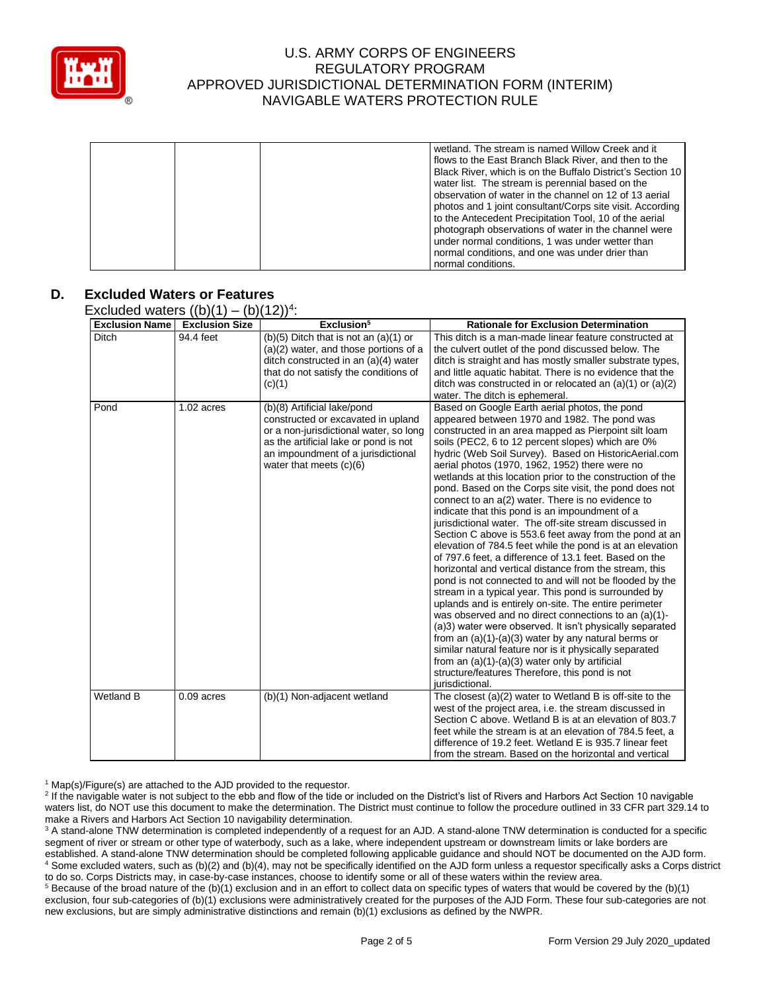

|  | wetland. The stream is named Willow Creek and it           |
|--|------------------------------------------------------------|
|  | flows to the East Branch Black River, and then to the      |
|  | Black River, which is on the Buffalo District's Section 10 |
|  | water list. The stream is perennial based on the           |
|  | observation of water in the channel on 12 of 13 aerial     |
|  | photos and 1 joint consultant/Corps site visit. According  |
|  | to the Antecedent Precipitation Tool, 10 of the aerial     |
|  | photograph observations of water in the channel were       |
|  | under normal conditions. 1 was under wetter than           |
|  | normal conditions, and one was under drier than            |
|  | normal conditions.                                         |

#### **D. Excluded Waters or Features**

Excluded waters  $((b)(1) - (b)(12))^4$ :

| <b>Exclusion Name</b> | $\left(\left(\frac{1}{2}\right)\right)$ $\left(\frac{1}{2}\right)$ $\left(\frac{1}{2}\right)$ $\left(\frac{1}{2}\right)$ $\left(\frac{1}{2}\right)$ $\left(\frac{1}{2}\right)$<br><b>Exclusion Size</b> | Exclusion <sup>5</sup>                                                                                                                                                                                                  | <b>Rationale for Exclusion Determination</b>                                                                                                                                                                                                                                                                                                                                                                                                                                                                                                                                                                                                                                                                                                                                                                                                                                                                                                                                                                                                                                                                                                                                                                                                                                                                                                                                                          |
|-----------------------|---------------------------------------------------------------------------------------------------------------------------------------------------------------------------------------------------------|-------------------------------------------------------------------------------------------------------------------------------------------------------------------------------------------------------------------------|-------------------------------------------------------------------------------------------------------------------------------------------------------------------------------------------------------------------------------------------------------------------------------------------------------------------------------------------------------------------------------------------------------------------------------------------------------------------------------------------------------------------------------------------------------------------------------------------------------------------------------------------------------------------------------------------------------------------------------------------------------------------------------------------------------------------------------------------------------------------------------------------------------------------------------------------------------------------------------------------------------------------------------------------------------------------------------------------------------------------------------------------------------------------------------------------------------------------------------------------------------------------------------------------------------------------------------------------------------------------------------------------------------|
| <b>Ditch</b>          | 94.4 feet                                                                                                                                                                                               | $(b)(5)$ Ditch that is not an $(a)(1)$ or<br>$(a)(2)$ water, and those portions of a<br>ditch constructed in an (a)(4) water<br>that do not satisfy the conditions of<br>(c)(1)                                         | This ditch is a man-made linear feature constructed at<br>the culvert outlet of the pond discussed below. The<br>ditch is straight and has mostly smaller substrate types,<br>and little aquatic habitat. There is no evidence that the<br>ditch was constructed in or relocated an $(a)(1)$ or $(a)(2)$<br>water. The ditch is ephemeral.                                                                                                                                                                                                                                                                                                                                                                                                                                                                                                                                                                                                                                                                                                                                                                                                                                                                                                                                                                                                                                                            |
| Pond                  | 1.02 acres                                                                                                                                                                                              | (b)(8) Artificial lake/pond<br>constructed or excavated in upland<br>or a non-jurisdictional water, so long<br>as the artificial lake or pond is not<br>an impoundment of a jurisdictional<br>water that meets $(c)(6)$ | Based on Google Earth aerial photos, the pond<br>appeared between 1970 and 1982. The pond was<br>constructed in an area mapped as Pierpoint silt loam<br>soils (PEC2, 6 to 12 percent slopes) which are 0%<br>hydric (Web Soil Survey). Based on HistoricAerial.com<br>aerial photos (1970, 1962, 1952) there were no<br>wetlands at this location prior to the construction of the<br>pond. Based on the Corps site visit, the pond does not<br>connect to an a(2) water. There is no evidence to<br>indicate that this pond is an impoundment of a<br>jurisdictional water. The off-site stream discussed in<br>Section C above is 553.6 feet away from the pond at an<br>elevation of 784.5 feet while the pond is at an elevation<br>of 797.6 feet, a difference of 13.1 feet. Based on the<br>horizontal and vertical distance from the stream, this<br>pond is not connected to and will not be flooded by the<br>stream in a typical year. This pond is surrounded by<br>uplands and is entirely on-site. The entire perimeter<br>was observed and no direct connections to an (a)(1)-<br>(a)3) water were observed. It isn't physically separated<br>from an $(a)(1)-(a)(3)$ water by any natural berms or<br>similar natural feature nor is it physically separated<br>from an $(a)(1)-(a)(3)$ water only by artificial<br>structure/features Therefore, this pond is not<br>jurisdictional. |
| <b>Wetland B</b>      | 0.09 acres                                                                                                                                                                                              | (b)(1) Non-adjacent wetland                                                                                                                                                                                             | The closest $(a)(2)$ water to Wetland B is off-site to the<br>west of the project area, i.e. the stream discussed in<br>Section C above. Wetland B is at an elevation of 803.7<br>feet while the stream is at an elevation of 784.5 feet, a<br>difference of 19.2 feet. Wetland E is 935.7 linear feet<br>from the stream. Based on the horizontal and vertical                                                                                                                                                                                                                                                                                                                                                                                                                                                                                                                                                                                                                                                                                                                                                                                                                                                                                                                                                                                                                                       |

 $1$  Map(s)/Figure(s) are attached to the AJD provided to the requestor.

<sup>2</sup> If the navigable water is not subject to the ebb and flow of the tide or included on the District's list of Rivers and Harbors Act Section 10 navigable waters list, do NOT use this document to make the determination. The District must continue to follow the procedure outlined in 33 CFR part 329.14 to make a Rivers and Harbors Act Section 10 navigability determination.

<sup>3</sup> A stand-alone TNW determination is completed independently of a request for an AJD. A stand-alone TNW determination is conducted for a specific segment of river or stream or other type of waterbody, such as a lake, where independent upstream or downstream limits or lake borders are established. A stand-alone TNW determination should be completed following applicable guidance and should NOT be documented on the AJD form. 4 Some excluded waters, such as (b)(2) and (b)(4), may not be specifically identified on the AJD form unless a requestor specifically asks a Corps district to do so. Corps Districts may, in case-by-case instances, choose to identify some or all of these waters within the review area.

 $5$  Because of the broad nature of the (b)(1) exclusion and in an effort to collect data on specific types of waters that would be covered by the (b)(1) exclusion, four sub-categories of (b)(1) exclusions were administratively created for the purposes of the AJD Form. These four sub-categories are not new exclusions, but are simply administrative distinctions and remain (b)(1) exclusions as defined by the NWPR.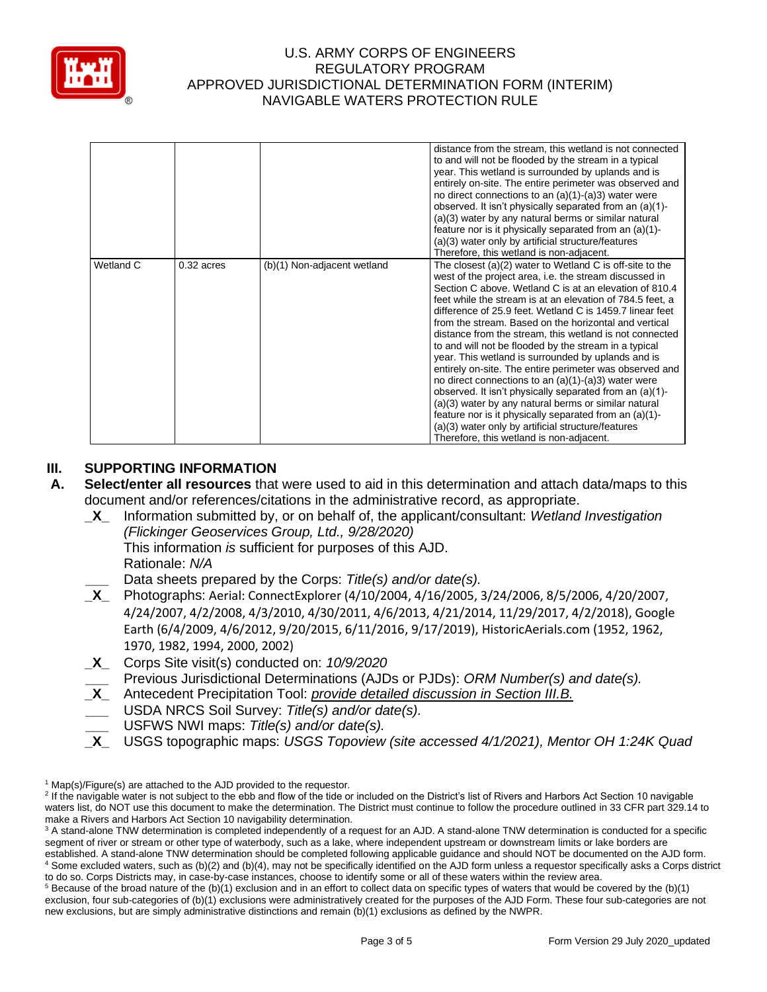

|           |              |                             | distance from the stream, this wetland is not connected<br>to and will not be flooded by the stream in a typical<br>year. This wetland is surrounded by uplands and is<br>entirely on-site. The entire perimeter was observed and<br>no direct connections to an $(a)(1)-(a)3)$ water were<br>observed. It isn't physically separated from an (a)(1)-<br>(a)(3) water by any natural berms or similar natural<br>feature nor is it physically separated from an (a)(1)-<br>(a)(3) water only by artificial structure/features<br>Therefore, this wetland is non-adjacent.                                                                                                                                                                                                                                                                                                                                                                     |
|-----------|--------------|-----------------------------|-----------------------------------------------------------------------------------------------------------------------------------------------------------------------------------------------------------------------------------------------------------------------------------------------------------------------------------------------------------------------------------------------------------------------------------------------------------------------------------------------------------------------------------------------------------------------------------------------------------------------------------------------------------------------------------------------------------------------------------------------------------------------------------------------------------------------------------------------------------------------------------------------------------------------------------------------|
| Wetland C | $0.32$ acres | (b)(1) Non-adjacent wetland | The closest $(a)(2)$ water to Wetland C is off-site to the<br>west of the project area, i.e. the stream discussed in<br>Section C above. Wetland C is at an elevation of 810.4<br>feet while the stream is at an elevation of 784.5 feet, a<br>difference of 25.9 feet. Wetland C is 1459.7 linear feet<br>from the stream. Based on the horizontal and vertical<br>distance from the stream, this wetland is not connected<br>to and will not be flooded by the stream in a typical<br>year. This wetland is surrounded by uplands and is<br>entirely on-site. The entire perimeter was observed and<br>no direct connections to an $(a)(1)-(a)3)$ water were<br>observed. It isn't physically separated from an (a)(1)-<br>(a)(3) water by any natural berms or similar natural<br>feature nor is it physically separated from an (a)(1)-<br>(a)(3) water only by artificial structure/features<br>Therefore, this wetland is non-adjacent. |

# **III. SUPPORTING INFORMATION**

- **A. Select/enter all resources** that were used to aid in this determination and attach data/maps to this document and/or references/citations in the administrative record, as appropriate.
	- **\_X\_** Information submitted by, or on behalf of, the applicant/consultant: *Wetland Investigation (Flickinger Geoservices Group, Ltd., 9/28/2020)* This information *is* sufficient for purposes of this AJD.

Rationale: *N/A* 

**\_\_\_** Data sheets prepared by the Corps: *Title(s) and/or date(s).*

- **\_X\_** Photographs: Aerial: ConnectExplorer (4/10/2004, 4/16/2005, 3/24/2006, 8/5/2006, 4/20/2007, 4/24/2007, 4/2/2008, 4/3/2010, 4/30/2011, 4/6/2013, 4/21/2014, 11/29/2017, 4/2/2018), Google Earth (6/4/2009, 4/6/2012, 9/20/2015, 6/11/2016, 9/17/2019), HistoricAerials.com (1952, 1962, 1970, 1982, 1994, 2000, 2002)
- **\_X\_** Corps Site visit(s) conducted on: *10/9/2020*
- **\_\_\_** Previous Jurisdictional Determinations (AJDs or PJDs): *ORM Number(s) and date(s).*
- **\_X\_** Antecedent Precipitation Tool: *provide detailed discussion in Section III.B.*
- **\_\_\_** USDA NRCS Soil Survey: *Title(s) and/or date(s).*
- **\_\_\_** USFWS NWI maps: *Title(s) and/or date(s).*
- **\_X\_** USGS topographic maps: *USGS Topoview (site accessed 4/1/2021), Mentor OH 1:24K Quad*

 $1$  Map(s)/Figure(s) are attached to the AJD provided to the requestor.

<sup>&</sup>lt;sup>2</sup> If the navigable water is not subject to the ebb and flow of the tide or included on the District's list of Rivers and Harbors Act Section 10 navigable waters list, do NOT use this document to make the determination. The District must continue to follow the procedure outlined in 33 CFR part 329.14 to make a Rivers and Harbors Act Section 10 navigability determination.

<sup>&</sup>lt;sup>3</sup> A stand-alone TNW determination is completed independently of a request for an AJD. A stand-alone TNW determination is conducted for a specific segment of river or stream or other type of waterbody, such as a lake, where independent upstream or downstream limits or lake borders are established. A stand-alone TNW determination should be completed following applicable guidance and should NOT be documented on the AJD form. <sup>4</sup> Some excluded waters, such as (b)(2) and (b)(4), may not be specifically identified on the AJD form unless a requestor specifically asks a Corps district to do so. Corps Districts may, in case-by-case instances, choose to identify some or all of these waters within the review area.

 $5$  Because of the broad nature of the (b)(1) exclusion and in an effort to collect data on specific types of waters that would be covered by the (b)(1) exclusion, four sub-categories of (b)(1) exclusions were administratively created for the purposes of the AJD Form. These four sub-categories are not new exclusions, but are simply administrative distinctions and remain (b)(1) exclusions as defined by the NWPR.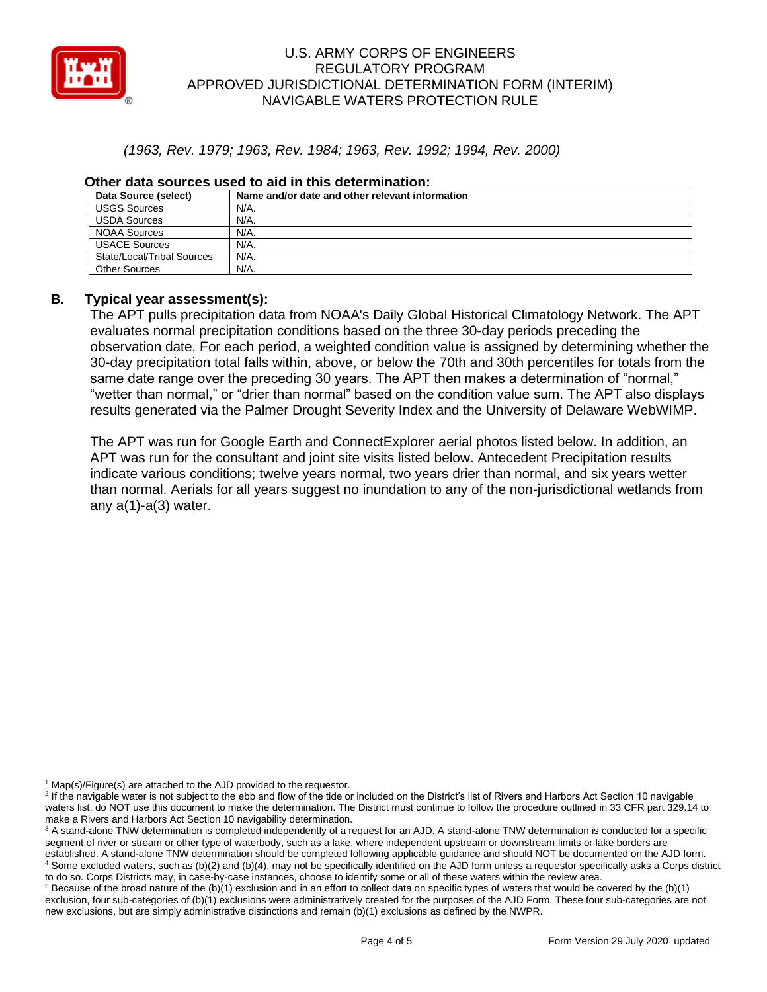

### *(1963, Rev. 1979; 1963, Rev. 1984; 1963, Rev. 1992; 1994, Rev. 2000)*

| Data Source (select)       | Name and/or date and other relevant information |
|----------------------------|-------------------------------------------------|
| <b>USGS Sources</b>        | N/A.                                            |
| <b>USDA Sources</b>        | N/A.                                            |
| <b>NOAA Sources</b>        | N/A.                                            |
| <b>USACE Sources</b>       | N/A.                                            |
| State/Local/Tribal Sources | N/A.                                            |
| <b>Other Sources</b>       | N/A.                                            |

#### **Other data sources used to aid in this determination:**

# **B. Typical year assessment(s):**

The APT pulls precipitation data from NOAA's Daily Global Historical Climatology Network. The APT evaluates normal precipitation conditions based on the three 30-day periods preceding the observation date. For each period, a weighted condition value is assigned by determining whether the 30-day precipitation total falls within, above, or below the 70th and 30th percentiles for totals from the same date range over the preceding 30 years. The APT then makes a determination of "normal," "wetter than normal," or "drier than normal" based on the condition value sum. The APT also displays results generated via the Palmer Drought Severity Index and the University of Delaware WebWIMP.

The APT was run for Google Earth and ConnectExplorer aerial photos listed below. In addition, an APT was run for the consultant and joint site visits listed below. Antecedent Precipitation results indicate various conditions; twelve years normal, two years drier than normal, and six years wetter than normal. Aerials for all years suggest no inundation to any of the non-jurisdictional wetlands from any  $a(1)$ - $a(3)$  water.

 $1$  Map(s)/Figure(s) are attached to the AJD provided to the requestor.

 $5$  Because of the broad nature of the (b)(1) exclusion and in an effort to collect data on specific types of waters that would be covered by the (b)(1) exclusion, four sub-categories of (b)(1) exclusions were administratively created for the purposes of the AJD Form. These four sub-categories are not new exclusions, but are simply administrative distinctions and remain (b)(1) exclusions as defined by the NWPR.

<sup>&</sup>lt;sup>2</sup> If the navigable water is not subject to the ebb and flow of the tide or included on the District's list of Rivers and Harbors Act Section 10 navigable waters list, do NOT use this document to make the determination. The District must continue to follow the procedure outlined in 33 CFR part 329.14 to make a Rivers and Harbors Act Section 10 navigability determination.

<sup>&</sup>lt;sup>3</sup> A stand-alone TNW determination is completed independently of a request for an AJD. A stand-alone TNW determination is conducted for a specific segment of river or stream or other type of waterbody, such as a lake, where independent upstream or downstream limits or lake borders are established. A stand-alone TNW determination should be completed following applicable guidance and should NOT be documented on the AJD form. <sup>4</sup> Some excluded waters, such as (b)(2) and (b)(4), may not be specifically identified on the AJD form unless a requestor specifically asks a Corps district to do so. Corps Districts may, in case-by-case instances, choose to identify some or all of these waters within the review area.